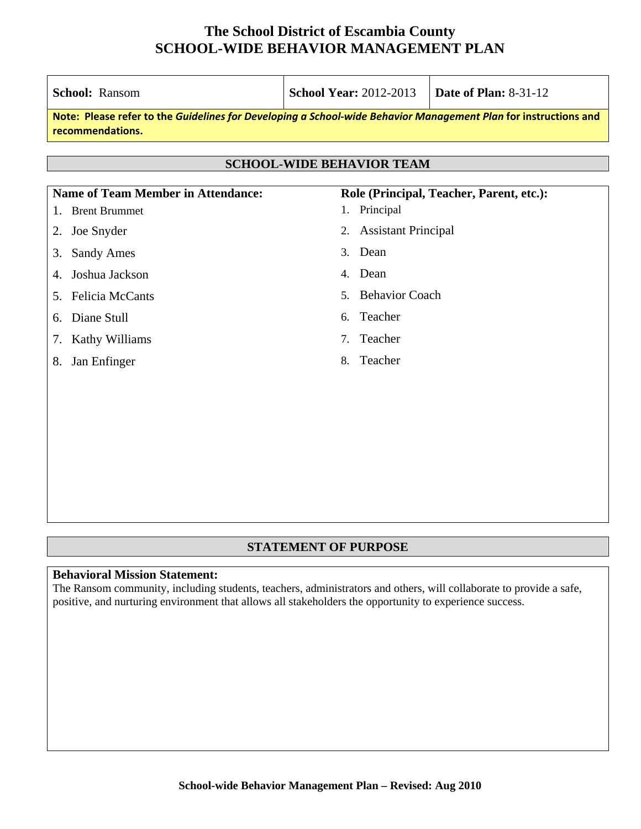Т

Т

| <b>School Year: 2012-2013</b><br><b>School: Ransom</b>                                                                              |                                             | <b>Date of Plan: 8-31-12</b>             |  |  |  |
|-------------------------------------------------------------------------------------------------------------------------------------|---------------------------------------------|------------------------------------------|--|--|--|
| Note: Please refer to the Guidelines for Developing a School-wide Behavior Management Plan for instructions and<br>recommendations. |                                             |                                          |  |  |  |
| <b>SCHOOL-WIDE BEHAVIOR TEAM</b>                                                                                                    |                                             |                                          |  |  |  |
| <b>Name of Team Member in Attendance:</b>                                                                                           |                                             | Role (Principal, Teacher, Parent, etc.): |  |  |  |
| 1. Brent Brummet                                                                                                                    | 1. Principal                                |                                          |  |  |  |
| Joe Snyder<br>2.                                                                                                                    | <b>Assistant Principal</b><br>2.            |                                          |  |  |  |
| <b>Sandy Ames</b><br>3.                                                                                                             | Dean<br>3.                                  |                                          |  |  |  |
| Joshua Jackson<br>4.                                                                                                                | Dean<br>4.                                  |                                          |  |  |  |
| Felicia McCants<br>5.                                                                                                               | <b>Behavior Coach</b><br>$5_{-}$            |                                          |  |  |  |
| Diane Stull<br>6.                                                                                                                   | Teacher<br>6.                               |                                          |  |  |  |
| Kathy Williams<br>7.                                                                                                                | Teacher<br>$7_{\scriptscriptstyle{\ddots}}$ |                                          |  |  |  |
| Jan Enfinger<br>8.                                                                                                                  | Teacher<br>8.                               |                                          |  |  |  |
|                                                                                                                                     |                                             |                                          |  |  |  |
|                                                                                                                                     |                                             |                                          |  |  |  |
|                                                                                                                                     |                                             |                                          |  |  |  |
|                                                                                                                                     |                                             |                                          |  |  |  |

### **STATEMENT OF PURPOSE**

#### **Behavioral Mission Statement:**

Г

The Ransom community, including students, teachers, administrators and others, will collaborate to provide a safe, positive, and nurturing environment that allows all stakeholders the opportunity to experience success.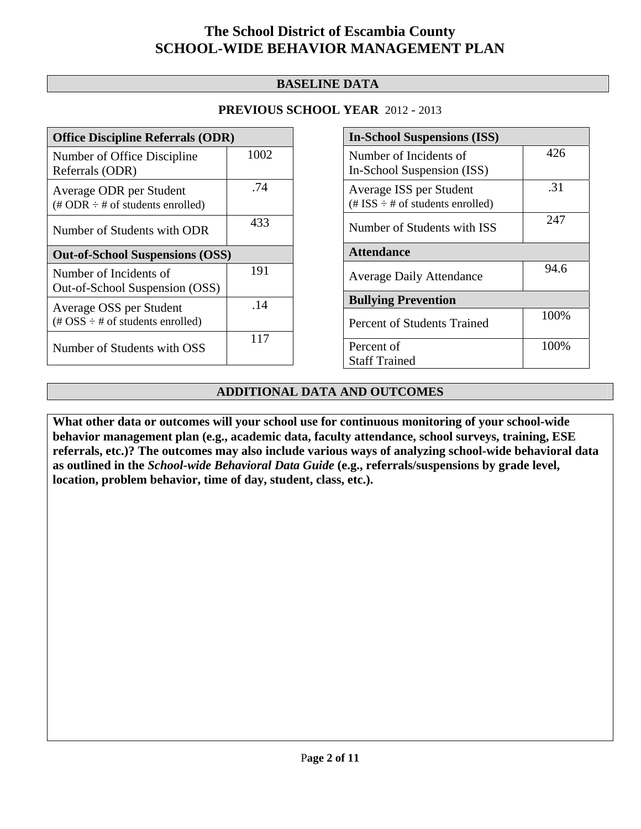### **BASELINE DATA**

### **PREVIOUS SCHOOL YEAR** 2012 - 2013

| <b>Office Discipline Referrals (ODR)</b>                                                        |      |  |  |
|-------------------------------------------------------------------------------------------------|------|--|--|
| Number of Office Discipline<br>Referrals (ODR)                                                  | 1002 |  |  |
| Average ODR per Student<br>$(\# ODR \div \# \text{ of students enrolled})$                      | .74  |  |  |
| Number of Students with ODR                                                                     | 433  |  |  |
| <b>Out-of-School Suspensions (OSS)</b>                                                          |      |  |  |
| Number of Incidents of<br>Out-of-School Suspension (OSS)                                        | 191  |  |  |
|                                                                                                 |      |  |  |
| Average OSS per Student<br>$(\text{\#} \text{OSS} \div \text{\#} \text{ of students enrolled})$ | .14  |  |  |

| <b>In-School Suspensions (ISS)</b>                                 |       |  |  |
|--------------------------------------------------------------------|-------|--|--|
| Number of Incidents of<br>In-School Suspension (ISS)               | 426   |  |  |
| Average ISS per Student<br>$(\# ISS \div \# of students enrolled)$ | .31   |  |  |
| Number of Students with ISS                                        | 247   |  |  |
| <b>Attendance</b>                                                  |       |  |  |
| <b>Average Daily Attendance</b>                                    | 94.6  |  |  |
| <b>Bullying Prevention</b>                                         |       |  |  |
| <b>Percent of Students Trained</b>                                 | 100%  |  |  |
| Percent of                                                         | 100\% |  |  |
| <b>Staff Trained</b>                                               |       |  |  |

### **ADDITIONAL DATA AND OUTCOMES**

**What other data or outcomes will your school use for continuous monitoring of your school-wide behavior management plan (e.g., academic data, faculty attendance, school surveys, training, ESE referrals, etc.)? The outcomes may also include various ways of analyzing school-wide behavioral data as outlined in the** *School-wide Behavioral Data Guide* **(e.g., referrals/suspensions by grade level, location, problem behavior, time of day, student, class, etc.).**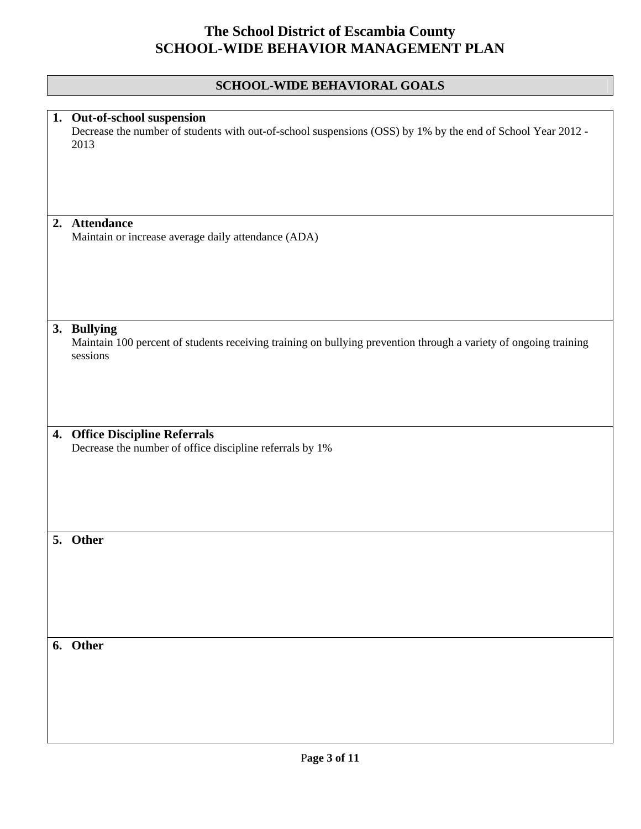|    | SCHOOL-WIDE BEHAVIORAL GOALS                                                                                                                       |  |  |  |
|----|----------------------------------------------------------------------------------------------------------------------------------------------------|--|--|--|
|    |                                                                                                                                                    |  |  |  |
|    | 1. Out-of-school suspension<br>Decrease the number of students with out-of-school suspensions (OSS) by 1% by the end of School Year 2012 -<br>2013 |  |  |  |
|    | 2. Attendance                                                                                                                                      |  |  |  |
|    | Maintain or increase average daily attendance (ADA)                                                                                                |  |  |  |
|    | 3. Bullying<br>Maintain 100 percent of students receiving training on bullying prevention through a variety of ongoing training<br>sessions        |  |  |  |
| 4. | <b>Office Discipline Referrals</b>                                                                                                                 |  |  |  |
|    | Decrease the number of office discipline referrals by 1%                                                                                           |  |  |  |
| 5. | Other                                                                                                                                              |  |  |  |
|    | 6. Other                                                                                                                                           |  |  |  |
|    |                                                                                                                                                    |  |  |  |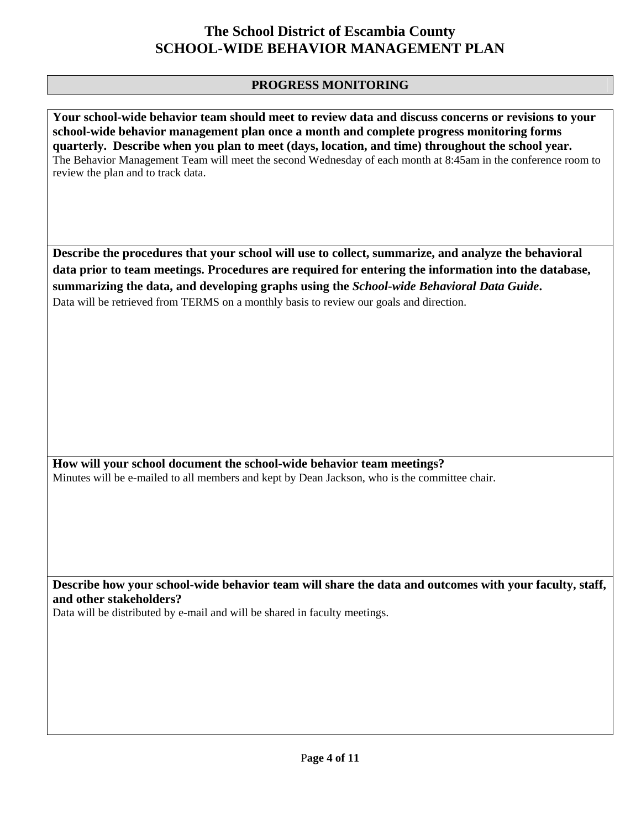### **PROGRESS MONITORING**

**Your school-wide behavior team should meet to review data and discuss concerns or revisions to your school-wide behavior management plan once a month and complete progress monitoring forms quarterly. Describe when you plan to meet (days, location, and time) throughout the school year.**  The Behavior Management Team will meet the second Wednesday of each month at 8:45am in the conference room to review the plan and to track data.

**Describe the procedures that your school will use to collect, summarize, and analyze the behavioral data prior to team meetings. Procedures are required for entering the information into the database, summarizing the data, and developing graphs using the** *School-wide Behavioral Data Guide***.**  Data will be retrieved from TERMS on a monthly basis to review our goals and direction.

**How will your school document the school-wide behavior team meetings?** Minutes will be e-mailed to all members and kept by Dean Jackson, who is the committee chair.

**Describe how your school-wide behavior team will share the data and outcomes with your faculty, staff, and other stakeholders?** 

Data will be distributed by e-mail and will be shared in faculty meetings.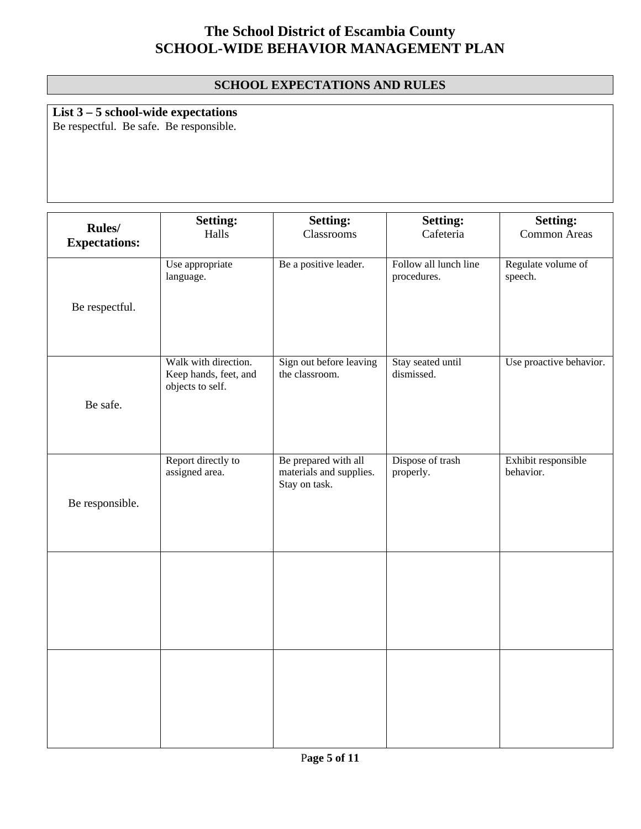### **SCHOOL EXPECTATIONS AND RULES**

## **List 3 – 5 school-wide expectations**

Be respectful. Be safe. Be responsible.

| <b>Rules/</b><br><b>Expectations:</b> | <b>Setting:</b><br>Halls                                          | <b>Setting:</b><br>Classrooms                                    | <b>Setting:</b><br>Cafeteria         | <b>Setting:</b><br>Common Areas  |
|---------------------------------------|-------------------------------------------------------------------|------------------------------------------------------------------|--------------------------------------|----------------------------------|
| Be respectful.                        | Use appropriate<br>language.                                      | Be a positive leader.                                            | Follow all lunch line<br>procedures. | Regulate volume of<br>speech.    |
| Be safe.                              | Walk with direction.<br>Keep hands, feet, and<br>objects to self. | Sign out before leaving<br>the classroom.                        | Stay seated until<br>dismissed.      | Use proactive behavior.          |
| Be responsible.                       | Report directly to<br>assigned area.                              | Be prepared with all<br>materials and supplies.<br>Stay on task. | Dispose of trash<br>properly.        | Exhibit responsible<br>behavior. |
|                                       |                                                                   |                                                                  |                                      |                                  |
|                                       |                                                                   |                                                                  |                                      |                                  |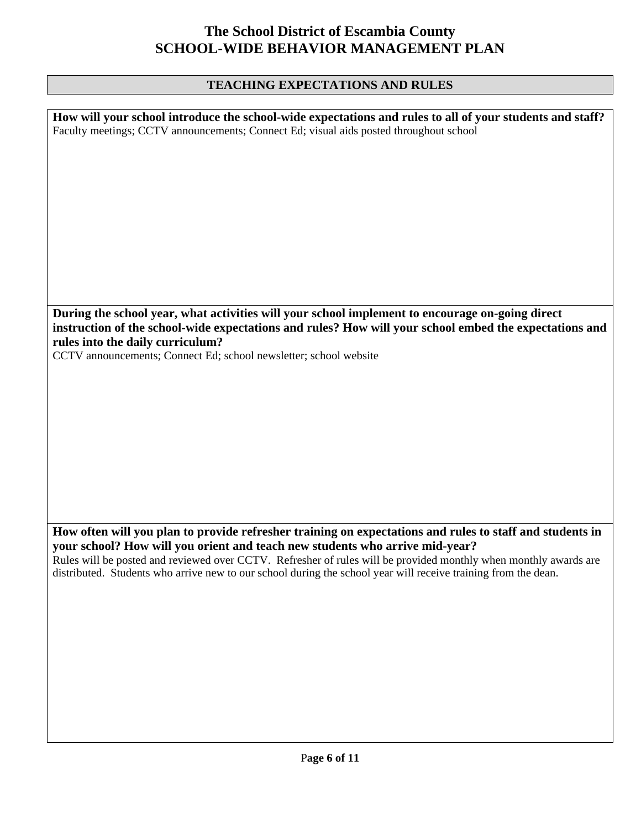### **TEACHING EXPECTATIONS AND RULES**

| How will your school introduce the school-wide expectations and rules to all of your students and staff?<br>Faculty meetings; CCTV announcements; Connect Ed; visual aids posted throughout school        |  |  |
|-----------------------------------------------------------------------------------------------------------------------------------------------------------------------------------------------------------|--|--|
|                                                                                                                                                                                                           |  |  |
|                                                                                                                                                                                                           |  |  |
|                                                                                                                                                                                                           |  |  |
|                                                                                                                                                                                                           |  |  |
|                                                                                                                                                                                                           |  |  |
|                                                                                                                                                                                                           |  |  |
|                                                                                                                                                                                                           |  |  |
| During the school year, what activities will your school implement to encourage on-going direct<br>instruction of the school-wide expectations and rules? How will your school embed the expectations and |  |  |
| rules into the daily curriculum?<br>CCTV announcements; Connect Ed; school newsletter; school website                                                                                                     |  |  |
|                                                                                                                                                                                                           |  |  |
|                                                                                                                                                                                                           |  |  |
|                                                                                                                                                                                                           |  |  |
|                                                                                                                                                                                                           |  |  |
|                                                                                                                                                                                                           |  |  |
|                                                                                                                                                                                                           |  |  |
| How often will you plan to provide refresher training on expectations and rules to staff and students in                                                                                                  |  |  |
| your school? How will you orient and teach new students who arrive mid-year?<br>Rules will be posted and reviewed over CCTV. Refresher of rules will be provided monthly when monthly awards are          |  |  |
| distributed. Students who arrive new to our school during the school year will receive training from the dean.                                                                                            |  |  |
|                                                                                                                                                                                                           |  |  |
|                                                                                                                                                                                                           |  |  |
|                                                                                                                                                                                                           |  |  |
|                                                                                                                                                                                                           |  |  |
|                                                                                                                                                                                                           |  |  |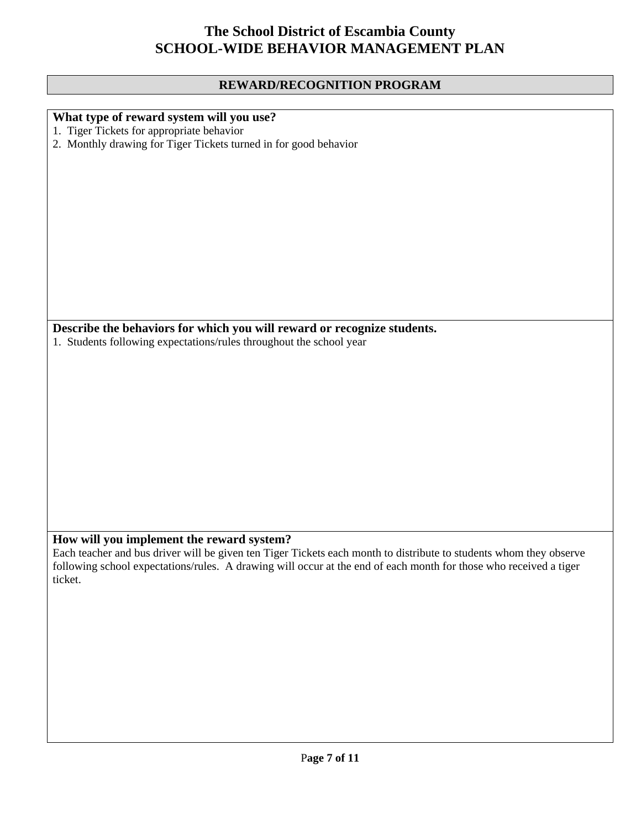### **REWARD/RECOGNITION PROGRAM**

| What type of reward system will you use?                                                                                                                        |
|-----------------------------------------------------------------------------------------------------------------------------------------------------------------|
| 1. Tiger Tickets for appropriate behavior                                                                                                                       |
| 2. Monthly drawing for Tiger Tickets turned in for good behavior                                                                                                |
|                                                                                                                                                                 |
|                                                                                                                                                                 |
|                                                                                                                                                                 |
|                                                                                                                                                                 |
|                                                                                                                                                                 |
|                                                                                                                                                                 |
|                                                                                                                                                                 |
|                                                                                                                                                                 |
|                                                                                                                                                                 |
|                                                                                                                                                                 |
|                                                                                                                                                                 |
| Describe the behaviors for which you will reward or recognize students.                                                                                         |
| 1. Students following expectations/rules throughout the school year                                                                                             |
|                                                                                                                                                                 |
|                                                                                                                                                                 |
|                                                                                                                                                                 |
|                                                                                                                                                                 |
|                                                                                                                                                                 |
|                                                                                                                                                                 |
|                                                                                                                                                                 |
|                                                                                                                                                                 |
|                                                                                                                                                                 |
|                                                                                                                                                                 |
|                                                                                                                                                                 |
|                                                                                                                                                                 |
| How will you implement the reward system?<br>Each teacher and bus driver will be given ten Tiger Tickets each month to distribute to students whom they observe |
| following school expectations/rules. A drawing will occur at the end of each month for those who received a tiger                                               |
| ticket.                                                                                                                                                         |
|                                                                                                                                                                 |
|                                                                                                                                                                 |
|                                                                                                                                                                 |
|                                                                                                                                                                 |
|                                                                                                                                                                 |
|                                                                                                                                                                 |
|                                                                                                                                                                 |
|                                                                                                                                                                 |
|                                                                                                                                                                 |
|                                                                                                                                                                 |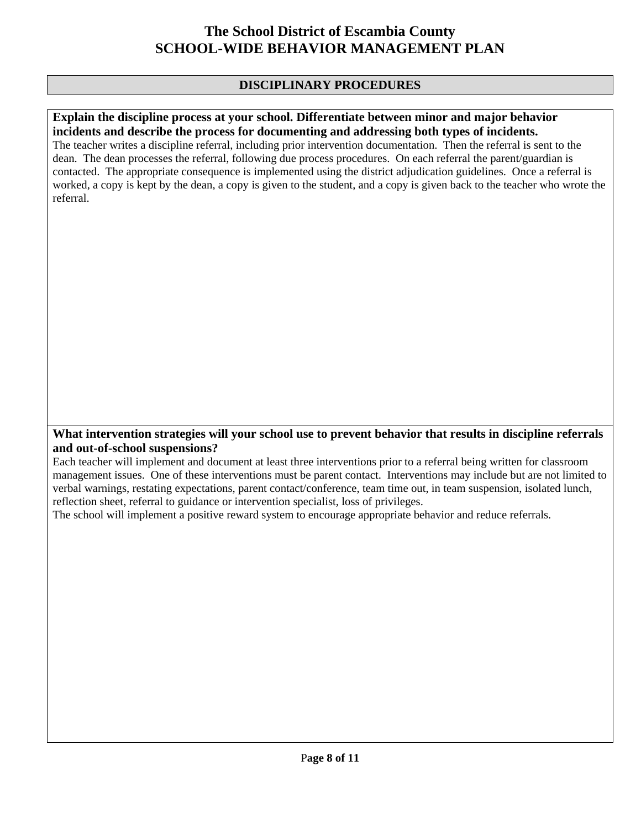### **DISCIPLINARY PROCEDURES**

#### **Explain the discipline process at your school. Differentiate between minor and major behavior incidents and describe the process for documenting and addressing both types of incidents.**

The teacher writes a discipline referral, including prior intervention documentation. Then the referral is sent to the dean. The dean processes the referral, following due process procedures. On each referral the parent/guardian is contacted. The appropriate consequence is implemented using the district adjudication guidelines. Once a referral is worked, a copy is kept by the dean, a copy is given to the student, and a copy is given back to the teacher who wrote the referral.

#### **What intervention strategies will your school use to prevent behavior that results in discipline referrals and out-of-school suspensions?**

Each teacher will implement and document at least three interventions prior to a referral being written for classroom management issues. One of these interventions must be parent contact. Interventions may include but are not limited to verbal warnings, restating expectations, parent contact/conference, team time out, in team suspension, isolated lunch, reflection sheet, referral to guidance or intervention specialist, loss of privileges.

The school will implement a positive reward system to encourage appropriate behavior and reduce referrals.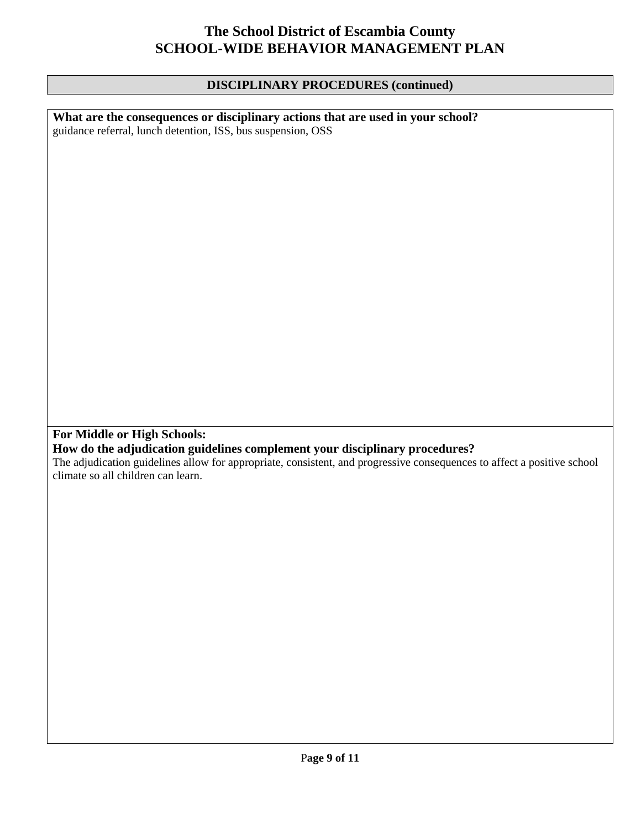#### **DISCIPLINARY PROCEDURES (continued)**

**What are the consequences or disciplinary actions that are used in your school?**  guidance referral, lunch detention, ISS, bus suspension, OSS **For Middle or High Schools: How do the adjudication guidelines complement your disciplinary procedures?**  The adjudication guidelines allow for appropriate, consistent, and progressive consequences to affect a positive school climate so all children can learn.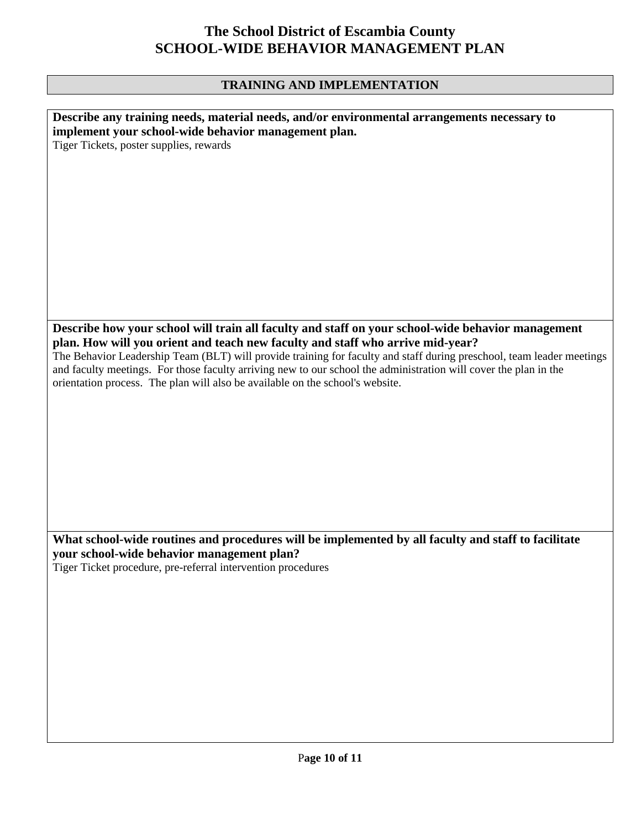### **TRAINING AND IMPLEMENTATION**

| Describe any training needs, material needs, and/or environmental arrangements necessary to                           |
|-----------------------------------------------------------------------------------------------------------------------|
|                                                                                                                       |
| implement your school-wide behavior management plan.                                                                  |
| Tiger Tickets, poster supplies, rewards                                                                               |
|                                                                                                                       |
|                                                                                                                       |
|                                                                                                                       |
|                                                                                                                       |
|                                                                                                                       |
|                                                                                                                       |
|                                                                                                                       |
|                                                                                                                       |
|                                                                                                                       |
|                                                                                                                       |
|                                                                                                                       |
|                                                                                                                       |
|                                                                                                                       |
|                                                                                                                       |
|                                                                                                                       |
|                                                                                                                       |
|                                                                                                                       |
|                                                                                                                       |
| Describe how your school will train all faculty and staff on your school-wide behavior management                     |
|                                                                                                                       |
| plan. How will you orient and teach new faculty and staff who arrive mid-year?                                        |
| The Behavior Leadership Team (BLT) will provide training for faculty and staff during preschool, team leader meetings |
|                                                                                                                       |
| and faculty meetings. For those faculty arriving new to our school the administration will cover the plan in the      |
| orientation process. The plan will also be available on the school's website.                                         |
|                                                                                                                       |
|                                                                                                                       |
|                                                                                                                       |
|                                                                                                                       |
|                                                                                                                       |
|                                                                                                                       |
|                                                                                                                       |
|                                                                                                                       |
|                                                                                                                       |
|                                                                                                                       |
|                                                                                                                       |
|                                                                                                                       |
|                                                                                                                       |
|                                                                                                                       |
|                                                                                                                       |
|                                                                                                                       |
| What school-wide routines and procedures will be implemented by all faculty and staff to facilitate                   |
| your school-wide behavior management plan?                                                                            |
|                                                                                                                       |
| Tiger Ticket procedure, pre-referral intervention procedures                                                          |
|                                                                                                                       |
|                                                                                                                       |
|                                                                                                                       |
|                                                                                                                       |
|                                                                                                                       |
|                                                                                                                       |
|                                                                                                                       |
|                                                                                                                       |
|                                                                                                                       |
|                                                                                                                       |
|                                                                                                                       |
|                                                                                                                       |
|                                                                                                                       |
|                                                                                                                       |